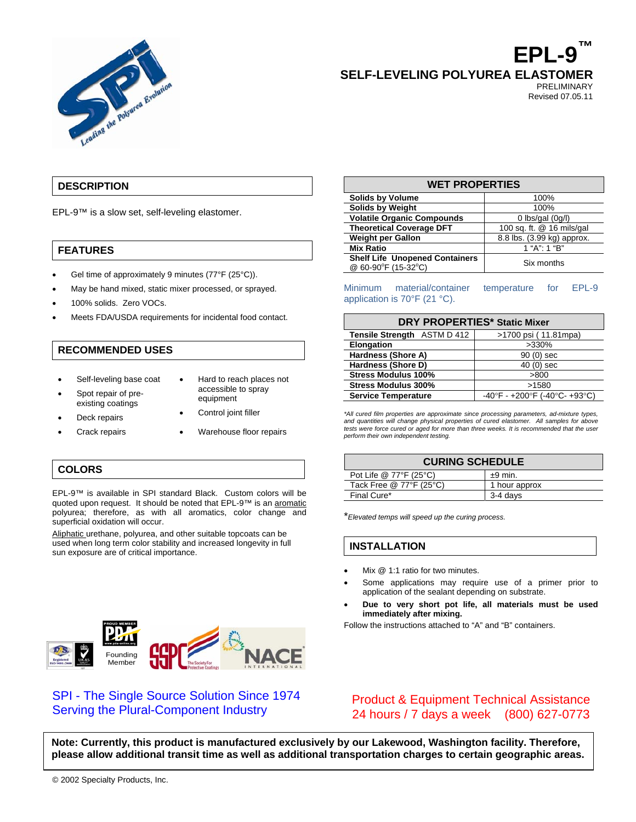

**EPL-9™ SELF-LEVELING POLYUREA ELASTOMER** 

> PRELIMINARY Revised 07.05.11

### **DESCRIPTION**

EPL-9™ is a slow set, self-leveling elastomer.

### **FEATURES**

- Gel time of approximately 9 minutes (77°F (25°C)).
- May be hand mixed, static mixer processed, or sprayed.
- 100% solids. Zero VOCs.
- Meets FDA/USDA requirements for incidental food contact.

### **RECOMMENDED USES**

- Self-leveling base coat
- Spot repair of preexisting coatings Deck repairs
- Hard to reach places not accessible to spray equipment
- Control joint filler
- Crack repairs Warehouse floor repairs
- 

### **COLORS**

EPL-9™ is available in SPI standard Black. Custom colors will be quoted upon request. It should be noted that EPL-9™ is an aromatic polyurea; therefore, as with all aromatics, color change and superficial oxidation will occur.

Aliphatic urethane, polyurea, and other suitable topcoats can be used when long term color stability and increased longevity in full sun exposure are of critical importance.



# SPI - The Single Source Solution Since 1974 Serving the Plural-Component Industry

| <b>WET PROPERTIES</b>                                        |                               |
|--------------------------------------------------------------|-------------------------------|
| <b>Solids by Volume</b>                                      | 100%                          |
| <b>Solids by Weight</b>                                      | 100%                          |
| <b>Volatile Organic Compounds</b>                            | 0 $\frac{1}{\sqrt{2}}$ (0q/l) |
| <b>Theoretical Coverage DFT</b>                              | 100 sq. ft. @ 16 mils/gal     |
| <b>Weight per Gallon</b>                                     | 8.8 lbs. (3.99 kg) approx.    |
| <b>Mix Ratio</b>                                             | 1 "A": 1 "B"                  |
| <b>Shelf Life Unopened Containers</b><br>@ 60-90°F (15-32°C) | Six months                    |

Minimum material/container temperature for EPL-9 application is 70°F (21 °C).

| <b>DRY PROPERTIES* Static Mixer</b> |                               |  |
|-------------------------------------|-------------------------------|--|
| <b>Tensile Strength ASTM D 412</b>  | >1700 psi (11.81mpa)          |  |
| <b>Elongation</b>                   | >330%                         |  |
| Hardness (Shore A)                  | 90 (0) sec                    |  |
| Hardness (Shore D)                  | $40(0)$ sec                   |  |
| <b>Stress Modulus 100%</b>          | >800                          |  |
| <b>Stress Modulus 300%</b>          | >1580                         |  |
| <b>Service Temperature</b>          | -40°F - +200°F (-40°C- +93°C) |  |

*\*All cured film properties are approximate since processing parameters, ad-mixture types, and quantities will change physical properties of cured elastomer. All samples for above tests were force cured or aged for more than three weeks. It is recommended that the user perform their own independent testing.* 

| <b>CURING SCHEDULE</b>  |               |
|-------------------------|---------------|
| Pot Life @ 77°F (25°C)  | $±9$ min.     |
| Tack Free @ 77°F (25°C) | 1 hour approx |
| Final Cure*             | 3-4 days      |

\**Elevated temps will speed up the curing process.*

#### **INSTALLATION**

- Mix @ 1:1 ratio for two minutes.
- Some applications may require use of a primer prior to application of the sealant depending on substrate.
- **Due to very short pot life, all materials must be used immediately after mixing.**

Follow the instructions attached to "A" and "B" containers.

## Product & Equipment Technical Assistance 24 hours / 7 days a week (800) 627-0773

**Note: Currently, this product is manufactured exclusively by our Lakewood, Washington facility. Therefore, please allow additional transit time as well as additional transportation charges to certain geographic areas.**